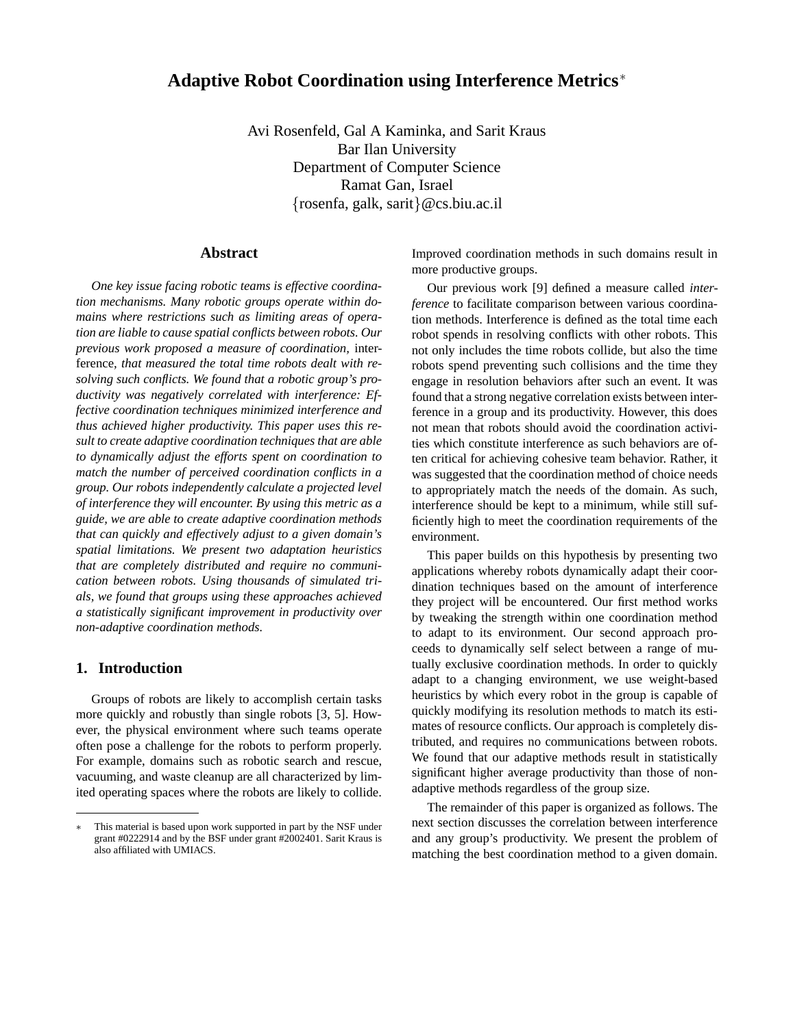# **Adaptive Robot Coordination using Interference Metrics**<sup>∗</sup>

Avi Rosenfeld, Gal A Kaminka, and Sarit Kraus Bar Ilan University Department of Computer Science Ramat Gan, Israel {rosenfa, galk, sarit}@cs.biu.ac.il

#### **Abstract**

*One key issue facing robotic teams is effective coordination mechanisms. Many robotic groups operate within domains where restrictions such as limiting areas of operation are liable to cause spatial conflicts between robots. Our previous work proposed a measure of coordination,* interference*, that measured the total time robots dealt with resolving such conflicts. We found that a robotic group's productivity was negatively correlated with interference: Effective coordination techniques minimized interference and thus achieved higher productivity. This paper uses this result to create adaptive coordination techniques that are able to dynamically adjust the efforts spent on coordination to match the number of perceived coordination conflicts in a group. Our robots independently calculate a projected level of interference they will encounter. By using this metric as a guide, we are able to create adaptive coordination methods that can quickly and effectively adjust to a given domain's spatial limitations. We present two adaptation heuristics that are completely distributed and require no communication between robots. Using thousands of simulated trials, we found that groups using these approaches achieved a statistically significant improvement in productivity over non-adaptive coordination methods.*

#### **1. Introduction**

Groups of robots are likely to accomplish certain tasks more quickly and robustly than single robots [3, 5]. However, the physical environment where such teams operate often pose a challenge for the robots to perform properly. For example, domains such as robotic search and rescue, vacuuming, and waste cleanup are all characterized by limited operating spaces where the robots are likely to collide. Improved coordination methods in such domains result in more productive groups.

Our previous work [9] defined a measure called *interference* to facilitate comparison between various coordination methods. Interference is defined as the total time each robot spends in resolving conflicts with other robots. This not only includes the time robots collide, but also the time robots spend preventing such collisions and the time they engage in resolution behaviors after such an event. It was found that a strong negative correlation exists between interference in a group and its productivity. However, this does not mean that robots should avoid the coordination activities which constitute interference as such behaviors are often critical for achieving cohesive team behavior. Rather, it was suggested that the coordination method of choice needs to appropriately match the needs of the domain. As such, interference should be kept to a minimum, while still sufficiently high to meet the coordination requirements of the environment.

This paper builds on this hypothesis by presenting two applications whereby robots dynamically adapt their coordination techniques based on the amount of interference they project will be encountered. Our first method works by tweaking the strength within one coordination method to adapt to its environment. Our second approach proceeds to dynamically self select between a range of mutually exclusive coordination methods. In order to quickly adapt to a changing environment, we use weight-based heuristics by which every robot in the group is capable of quickly modifying its resolution methods to match its estimates of resource conflicts. Our approach is completely distributed, and requires no communications between robots. We found that our adaptive methods result in statistically significant higher average productivity than those of nonadaptive methods regardless of the group size.

The remainder of this paper is organized as follows. The next section discusses the correlation between interference and any group's productivity. We present the problem of matching the best coordination method to a given domain.

<sup>∗</sup> This material is based upon work supported in part by the NSF under grant #0222914 and by the BSF under grant #2002401. Sarit Kraus is also affiliated with UMIACS.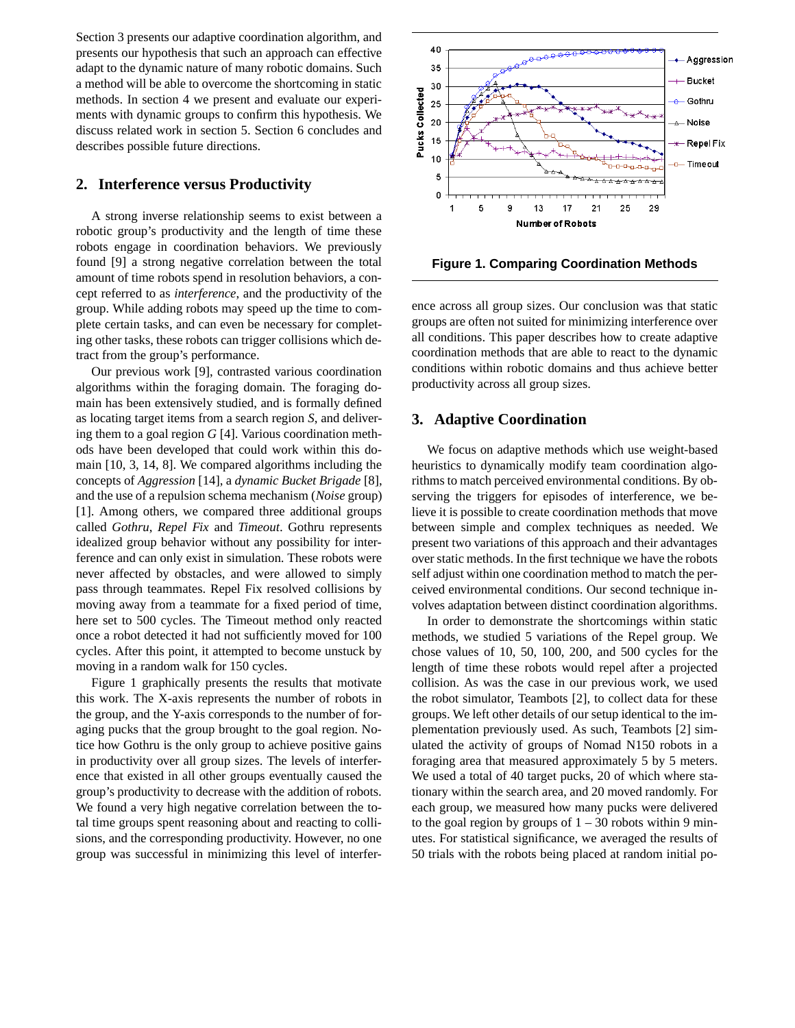Section 3 presents our adaptive coordination algorithm, and presents our hypothesis that such an approach can effective adapt to the dynamic nature of many robotic domains. Such a method will be able to overcome the shortcoming in static methods. In section 4 we present and evaluate our experiments with dynamic groups to confirm this hypothesis. We discuss related work in section 5. Section 6 concludes and describes possible future directions.

### **2. Interference versus Productivity**

A strong inverse relationship seems to exist between a robotic group's productivity and the length of time these robots engage in coordination behaviors. We previously found [9] a strong negative correlation between the total amount of time robots spend in resolution behaviors, a concept referred to as *interference*, and the productivity of the group. While adding robots may speed up the time to complete certain tasks, and can even be necessary for completing other tasks, these robots can trigger collisions which detract from the group's performance.

Our previous work [9], contrasted various coordination algorithms within the foraging domain. The foraging domain has been extensively studied, and is formally defined as locating target items from a search region *S*, and delivering them to a goal region *G* [4]. Various coordination methods have been developed that could work within this domain [10, 3, 14, 8]. We compared algorithms including the concepts of *Aggression* [14], a *dynamic Bucket Brigade* [8], and the use of a repulsion schema mechanism (*Noise* group) [1]. Among others, we compared three additional groups called *Gothru*, *Repel Fix* and *Timeout*. Gothru represents idealized group behavior without any possibility for interference and can only exist in simulation. These robots were never affected by obstacles, and were allowed to simply pass through teammates. Repel Fix resolved collisions by moving away from a teammate for a fixed period of time, here set to 500 cycles. The Timeout method only reacted once a robot detected it had not sufficiently moved for 100 cycles. After this point, it attempted to become unstuck by moving in a random walk for 150 cycles.

Figure 1 graphically presents the results that motivate this work. The X-axis represents the number of robots in the group, and the Y-axis corresponds to the number of foraging pucks that the group brought to the goal region. Notice how Gothru is the only group to achieve positive gains in productivity over all group sizes. The levels of interference that existed in all other groups eventually caused the group's productivity to decrease with the addition of robots. We found a very high negative correlation between the total time groups spent reasoning about and reacting to collisions, and the corresponding productivity. However, no one group was successful in minimizing this level of interfer-



**Figure 1. Comparing Coordination Methods**

ence across all group sizes. Our conclusion was that static groups are often not suited for minimizing interference over all conditions. This paper describes how to create adaptive coordination methods that are able to react to the dynamic conditions within robotic domains and thus achieve better productivity across all group sizes.

#### **3. Adaptive Coordination**

We focus on adaptive methods which use weight-based heuristics to dynamically modify team coordination algorithms to match perceived environmental conditions. By observing the triggers for episodes of interference, we believe it is possible to create coordination methods that move between simple and complex techniques as needed. We present two variations of this approach and their advantages over static methods. In the first technique we have the robots self adjust within one coordination method to match the perceived environmental conditions. Our second technique involves adaptation between distinct coordination algorithms.

In order to demonstrate the shortcomings within static methods, we studied 5 variations of the Repel group. We chose values of 10, 50, 100, 200, and 500 cycles for the length of time these robots would repel after a projected collision. As was the case in our previous work, we used the robot simulator, Teambots [2], to collect data for these groups. We left other details of our setup identical to the implementation previously used. As such, Teambots [2] simulated the activity of groups of Nomad N150 robots in a foraging area that measured approximately 5 by 5 meters. We used a total of 40 target pucks, 20 of which where stationary within the search area, and 20 moved randomly. For each group, we measured how many pucks were delivered to the goal region by groups of  $1 - 30$  robots within 9 minutes. For statistical significance, we averaged the results of 50 trials with the robots being placed at random initial po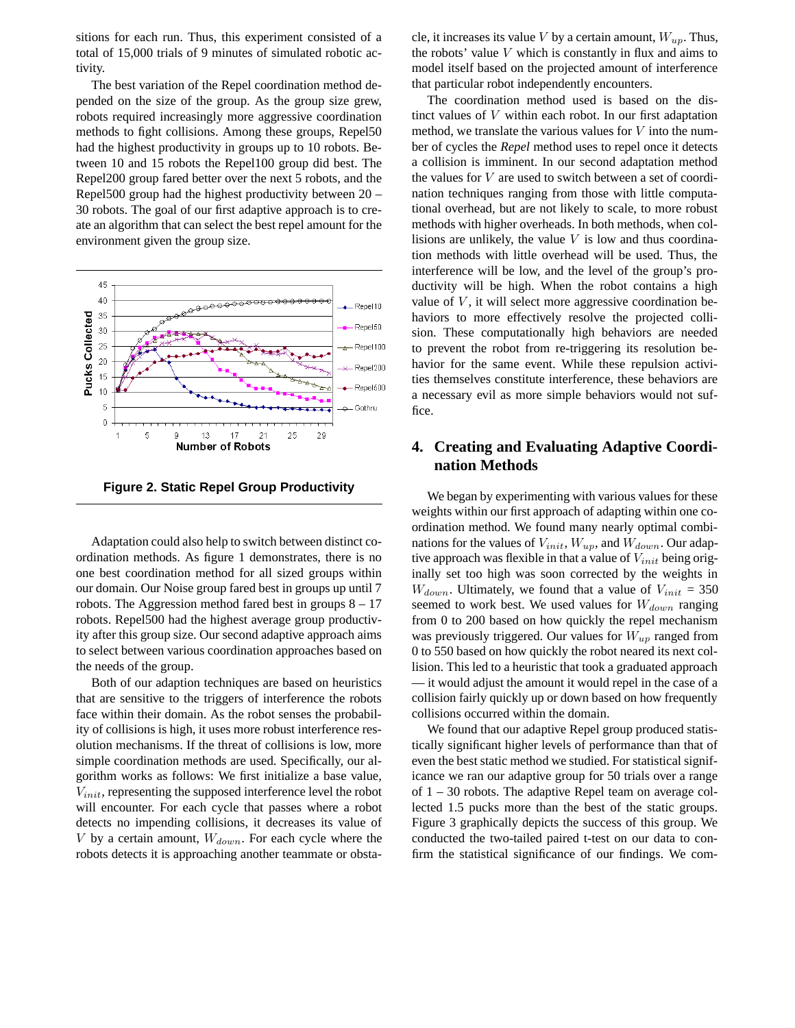sitions for each run. Thus, this experiment consisted of a total of 15,000 trials of 9 minutes of simulated robotic activity.

The best variation of the Repel coordination method depended on the size of the group. As the group size grew, robots required increasingly more aggressive coordination methods to fight collisions. Among these groups, Repel50 had the highest productivity in groups up to 10 robots. Between 10 and 15 robots the Repel100 group did best. The Repel200 group fared better over the next 5 robots, and the Repel500 group had the highest productivity between 20 – 30 robots. The goal of our first adaptive approach is to create an algorithm that can select the best repel amount for the environment given the group size.



**Figure 2. Static Repel Group Productivity**

Adaptation could also help to switch between distinct coordination methods. As figure 1 demonstrates, there is no one best coordination method for all sized groups within our domain. Our Noise group fared best in groups up until 7 robots. The Aggression method fared best in groups  $8 - 17$ robots. Repel500 had the highest average group productivity after this group size. Our second adaptive approach aims to select between various coordination approaches based on the needs of the group.

Both of our adaption techniques are based on heuristics that are sensitive to the triggers of interference the robots face within their domain. As the robot senses the probability of collisions is high, it uses more robust interference resolution mechanisms. If the threat of collisions is low, more simple coordination methods are used. Specifically, our algorithm works as follows: We first initialize a base value,  $V_{init}$ , representing the supposed interference level the robot will encounter. For each cycle that passes where a robot detects no impending collisions, it decreases its value of V by a certain amount,  $W_{down}$ . For each cycle where the robots detects it is approaching another teammate or obstacle, it increases its value V by a certain amount,  $W_{up}$ . Thus, the robots' value  $V$  which is constantly in flux and aims to model itself based on the projected amount of interference that particular robot independently encounters.

The coordination method used is based on the distinct values of V within each robot. In our first adaptation method, we translate the various values for  $V$  into the number of cycles the *Repel* method uses to repel once it detects a collision is imminent. In our second adaptation method the values for V are used to switch between a set of coordination techniques ranging from those with little computational overhead, but are not likely to scale, to more robust methods with higher overheads. In both methods, when collisions are unlikely, the value  $V$  is low and thus coordination methods with little overhead will be used. Thus, the interference will be low, and the level of the group's productivity will be high. When the robot contains a high value of  $V$ , it will select more aggressive coordination behaviors to more effectively resolve the projected collision. These computationally high behaviors are needed to prevent the robot from re-triggering its resolution behavior for the same event. While these repulsion activities themselves constitute interference, these behaviors are a necessary evil as more simple behaviors would not suffice.

# **4. Creating and Evaluating Adaptive Coordination Methods**

We began by experimenting with various values for these weights within our first approach of adapting within one coordination method. We found many nearly optimal combinations for the values of  $V_{init}$ ,  $W_{up}$ , and  $W_{down}$ . Our adaptive approach was flexible in that a value of  $V_{init}$  being originally set too high was soon corrected by the weights in  $W_{down}$ . Ultimately, we found that a value of  $V_{init} = 350$ seemed to work best. We used values for  $W_{down}$  ranging from 0 to 200 based on how quickly the repel mechanism was previously triggered. Our values for  $W_{up}$  ranged from 0 to 550 based on how quickly the robot neared its next collision. This led to a heuristic that took a graduated approach — it would adjust the amount it would repel in the case of a collision fairly quickly up or down based on how frequently collisions occurred within the domain.

We found that our adaptive Repel group produced statistically significant higher levels of performance than that of even the best static method we studied. For statistical significance we ran our adaptive group for 50 trials over a range of 1 – 30 robots. The adaptive Repel team on average collected 1.5 pucks more than the best of the static groups. Figure 3 graphically depicts the success of this group. We conducted the two-tailed paired t-test on our data to confirm the statistical significance of our findings. We com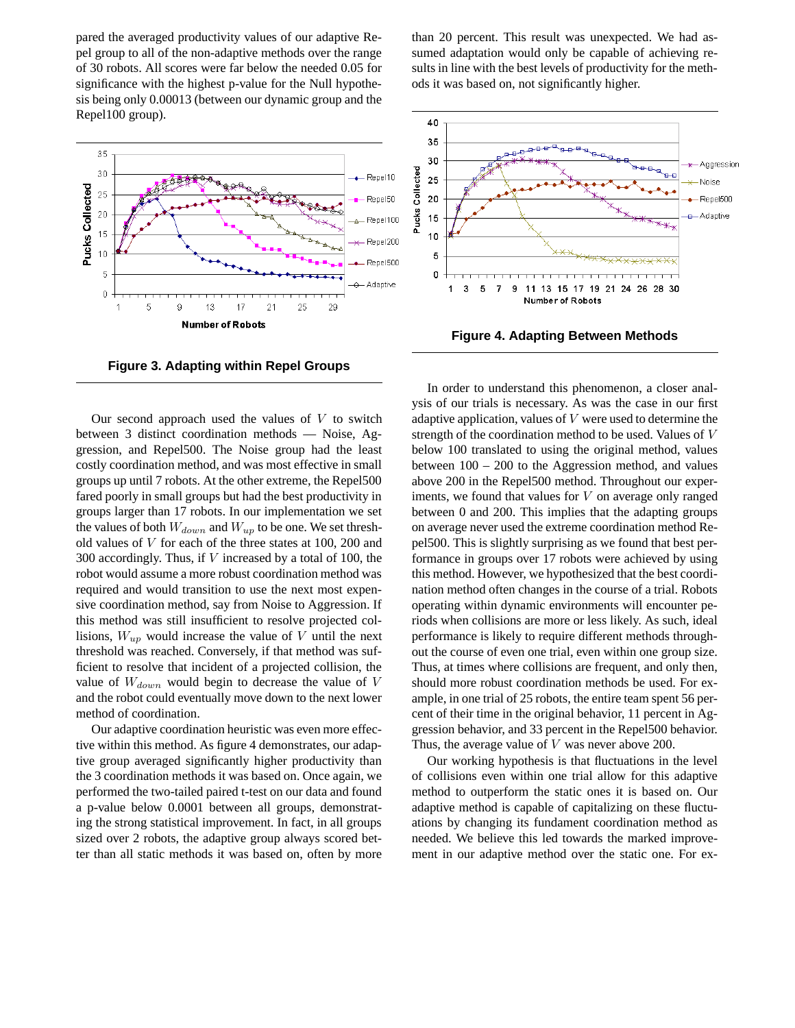pared the averaged productivity values of our adaptive Repel group to all of the non-adaptive methods over the range of 30 robots. All scores were far below the needed 0.05 for significance with the highest p-value for the Null hypothesis being only 0.00013 (between our dynamic group and the Repel100 group).



**Figure 3. Adapting within Repel Groups**

Our second approach used the values of  $V$  to switch between 3 distinct coordination methods — Noise, Aggression, and Repel500. The Noise group had the least costly coordination method, and was most effective in small groups up until 7 robots. At the other extreme, the Repel500 fared poorly in small groups but had the best productivity in groups larger than 17 robots. In our implementation we set the values of both  $W_{down}$  and  $W_{up}$  to be one. We set threshold values of V for each of the three states at 100, 200 and 300 accordingly. Thus, if  $V$  increased by a total of 100, the robot would assume a more robust coordination method was required and would transition to use the next most expensive coordination method, say from Noise to Aggression. If this method was still insufficient to resolve projected collisions,  $W_{up}$  would increase the value of V until the next threshold was reached. Conversely, if that method was sufficient to resolve that incident of a projected collision, the value of  $W_{down}$  would begin to decrease the value of V and the robot could eventually move down to the next lower method of coordination.

Our adaptive coordination heuristic was even more effective within this method. As figure 4 demonstrates, our adaptive group averaged significantly higher productivity than the 3 coordination methods it was based on. Once again, we performed the two-tailed paired t-test on our data and found a p-value below 0.0001 between all groups, demonstrating the strong statistical improvement. In fact, in all groups sized over 2 robots, the adaptive group always scored better than all static methods it was based on, often by more than 20 percent. This result was unexpected. We had assumed adaptation would only be capable of achieving results in line with the best levels of productivity for the methods it was based on, not significantly higher.



**Figure 4. Adapting Between Methods**

In order to understand this phenomenon, a closer analysis of our trials is necessary. As was the case in our first adaptive application, values of  $V$  were used to determine the strength of the coordination method to be used. Values of V below 100 translated to using the original method, values between 100 – 200 to the Aggression method, and values above 200 in the Repel500 method. Throughout our experiments, we found that values for V on average only ranged between 0 and 200. This implies that the adapting groups on average never used the extreme coordination method Repel500. This is slightly surprising as we found that best performance in groups over 17 robots were achieved by using this method. However, we hypothesized that the best coordination method often changes in the course of a trial. Robots operating within dynamic environments will encounter periods when collisions are more or less likely. As such, ideal performance is likely to require different methods throughout the course of even one trial, even within one group size. Thus, at times where collisions are frequent, and only then, should more robust coordination methods be used. For example, in one trial of 25 robots, the entire team spent 56 percent of their time in the original behavior, 11 percent in Aggression behavior, and 33 percent in the Repel500 behavior. Thus, the average value of  $V$  was never above 200.

Our working hypothesis is that fluctuations in the level of collisions even within one trial allow for this adaptive method to outperform the static ones it is based on. Our adaptive method is capable of capitalizing on these fluctuations by changing its fundament coordination method as needed. We believe this led towards the marked improvement in our adaptive method over the static one. For ex-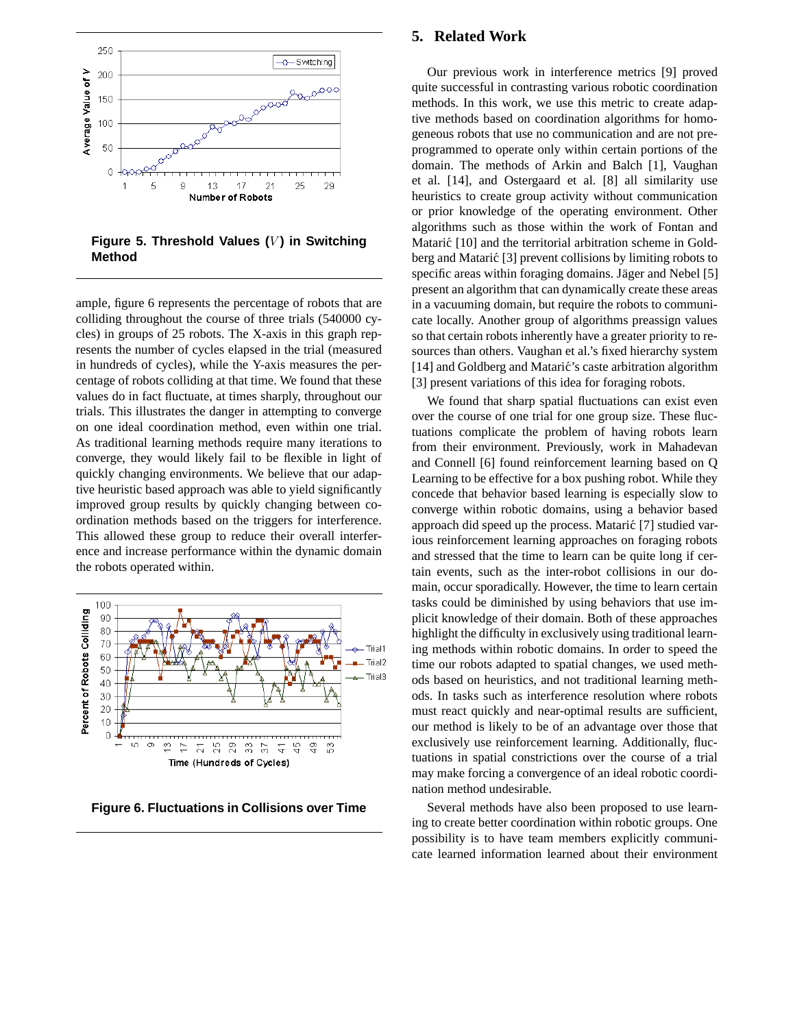

**Figure 5. Threshold Values (V) in Switching Method**

ample, figure 6 represents the percentage of robots that are colliding throughout the course of three trials (540000 cycles) in groups of 25 robots. The X-axis in this graph represents the number of cycles elapsed in the trial (measured in hundreds of cycles), while the Y-axis measures the percentage of robots colliding at that time. We found that these values do in fact fluctuate, at times sharply, throughout our trials. This illustrates the danger in attempting to converge on one ideal coordination method, even within one trial. As traditional learning methods require many iterations to converge, they would likely fail to be flexible in light of quickly changing environments. We believe that our adaptive heuristic based approach was able to yield significantly improved group results by quickly changing between coordination methods based on the triggers for interference. This allowed these group to reduce their overall interference and increase performance within the dynamic domain the robots operated within.



**Figure 6. Fluctuations in Collisions over Time**

# **5. Related Work**

Our previous work in interference metrics [9] proved quite successful in contrasting various robotic coordination methods. In this work, we use this metric to create adaptive methods based on coordination algorithms for homogeneous robots that use no communication and are not preprogrammed to operate only within certain portions of the domain. The methods of Arkin and Balch [1], Vaughan et al. [14], and Ostergaard et al. [8] all similarity use heuristics to create group activity without communication or prior knowledge of the operating environment. Other algorithms such as those within the work of Fontan and Matarić [10] and the territorial arbitration scheme in Goldberg and Matarić [3] prevent collisions by limiting robots to specific areas within foraging domains. Jäger and Nebel [5] present an algorithm that can dynamically create these areas in a vacuuming domain, but require the robots to communicate locally. Another group of algorithms preassign values so that certain robots inherently have a greater priority to resources than others. Vaughan et al.'s fixed hierarchy system [14] and Goldberg and Matarić's caste arbitration algorithm [3] present variations of this idea for foraging robots.

We found that sharp spatial fluctuations can exist even over the course of one trial for one group size. These fluctuations complicate the problem of having robots learn from their environment. Previously, work in Mahadevan and Connell [6] found reinforcement learning based on Q Learning to be effective for a box pushing robot. While they concede that behavior based learning is especially slow to converge within robotic domains, using a behavior based approach did speed up the process. Matarić [7] studied various reinforcement learning approaches on foraging robots and stressed that the time to learn can be quite long if certain events, such as the inter-robot collisions in our domain, occur sporadically. However, the time to learn certain tasks could be diminished by using behaviors that use implicit knowledge of their domain. Both of these approaches highlight the difficulty in exclusively using traditional learning methods within robotic domains. In order to speed the time our robots adapted to spatial changes, we used methods based on heuristics, and not traditional learning methods. In tasks such as interference resolution where robots must react quickly and near-optimal results are sufficient, our method is likely to be of an advantage over those that exclusively use reinforcement learning. Additionally, fluctuations in spatial constrictions over the course of a trial may make forcing a convergence of an ideal robotic coordination method undesirable.

Several methods have also been proposed to use learning to create better coordination within robotic groups. One possibility is to have team members explicitly communicate learned information learned about their environment